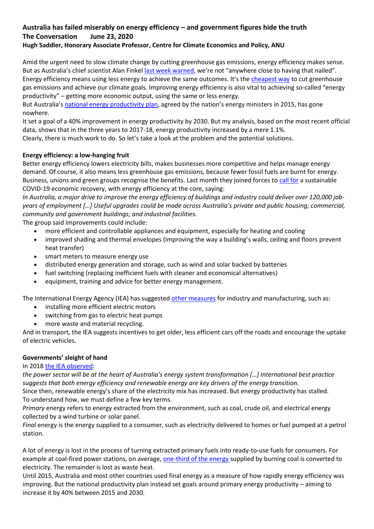# **Australia has failed miserably on energy efficiency – and government figures hide the truth The Conversation June 23, 2020 [Hugh Saddler,](https://theconversation.com/profiles/hugh-saddler-12123) Honorary Associate Professor, Centre for Climate Economics and Policy, ANU**

Amid the urgent need to slow climate change by cutting greenhouse gas emissions, energy efficiency makes sense. But as Australia's chief scientist Alan Finkel [last week warned](https://www.theguardian.com/australia-news/2020/jun/21/chief-scientist-joins-calls-for-australia-to-dramatically-boost-energy-efficiency), we're not "anywhere close to having that nailed". Energy efficiency means using less energy to achieve the same outcomes. It's the [cheapest way](http://www.climateinstitute.org.au/verve/_resources/TCI_BoostingAustraliasEnergyProductivity_July2013.pdf) to cut greenhouse gas emissions and achieve our climate goals. Improving energy efficiency is also vital to achieving so-called "energy productivity" – getting more economic output, using the same or less energy.

But Australia's [national energy productivity plan](https://www.energy.gov.au/government-priorities/energy-productivity-and-energy-efficiency/national-energy-productivity-plan), agreed by the nation's energy ministers in 2015, has gone nowhere.

It set a goal of a 40% improvement in energy productivity by 2030. But my analysis, based on the most recent official data, shows that in the three years to 2017-18, energy productivity increased by a mere 1.1%. Clearly, there is much work to do. So let's take a look at the problem and the potential solutions.

# **Energy efficiency: a low-hanging fruit**

Better energy efficiency lowers electricity bills, makes businesses more competitive and helps manage energy demand. Of course, it also means less greenhouse gas emissions, because fewer fossil fuels are burnt for energy. Business, unions and green groups recognise the benefits. Last month they joined forces to [call for](https://www.bca.com.au/building_a_stronger_and_cleaner_post_pandemic_australia) a sustainable COVID-19 economic recovery, with energy efficiency at the core, saying:

*In Australia, a major drive to improve the energy efficiency of buildings and industry could deliver over 120,000 jobyears of employment […] Useful upgrades could be made across Australia's private and public housing; commercial, community and government buildings; and industrial facilities.*

The group said improvements could include:

- more efficient and controllable appliances and equipment, especially for heating and cooling
- improved shading and thermal envelopes (improving the way a building's walls, ceiling and floors prevent heat transfer)
- smart meters to measure energy use
- distributed energy generation and storage, such as wind and solar backed by batteries
- fuel switching (replacing inefficient fuels with cleaner and economical alternatives)
- equipment, training and advice for better energy management.

The International Energy Agency (IEA) has suggested [other measures](https://www.iea.org/news/iea-offers-world-governments-a-sustainable-recovery-plan-to-boost-economic-growth-create-millions-of-jobs-and-put-emissions-into-structural-decline) for industry and manufacturing, such as:

- installing more efficient electric motors
- switching from gas to electric heat pumps
- more waste and material recycling.

And in transport, the IEA suggests incentives to get older, less efficient cars off the roads and encourage the uptake of electric vehicles.

# **Governments' sleight of hand**

### In 2018 [the IEA observed:](https://www.iea.org/reports/energy-policies-of-iea-countries-australia-2018-review)

*the power sector will be at the heart of Australia's energy system transformation […] International best practice suggests that both energy efficiency and renewable energy are key drivers of the energy transition.*

Since then, renewable energy's share of the electricity mix has increased. But energy productivity has stalled. To understand how, we must define a few key terms.

*Primary* energy refers to energy extracted from the environment, such as coal, crude oil, and electrical energy collected by a wind turbine or solar panel.

*Final* energy is the energy supplied to a consumer, such as electricity delivered to homes or fuel pumped at a petrol station.

A lot of energy is lost in the process of turning extracted primary fuels into ready-to-use fuels for consumers. For example at coal-fired power stations, on average, [one-third of the energy s](https://www.energy.gov/sites/prod/files/2013/04/f0/HS_Coal_Studyguide_draft1.pdf)upplied by burning coal is converted to electricity. The remainder is lost as waste heat.

Until 2015, Australia and most other countries used final energy as a measure of how rapidly energy efficiency was improving. But the national productivity plan instead set goals around primary energy productivity – aiming to increase it by 40% between 2015 and 2030.